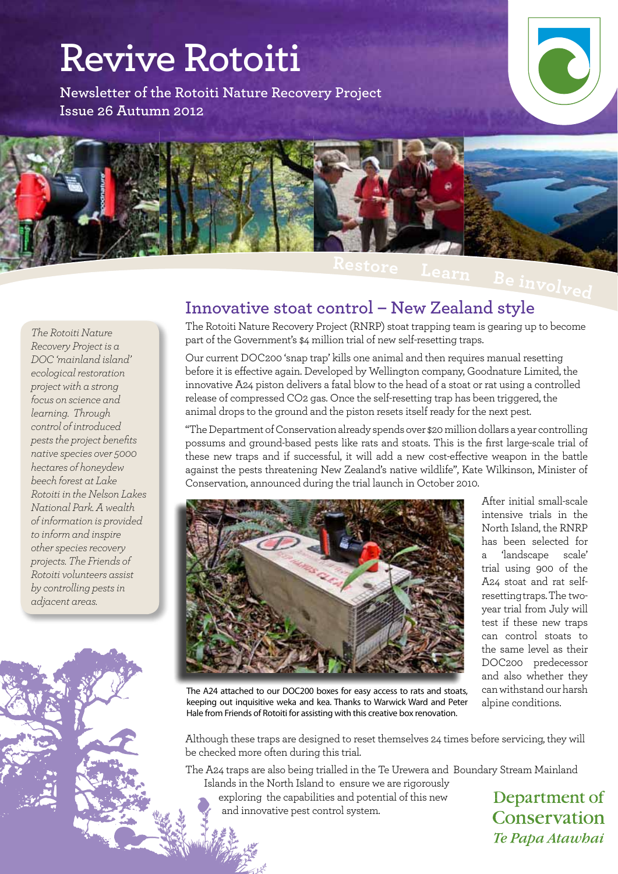# **Revive Rotoiti**

**Newsletter of the Rotoiti Nature Recovery Project Issue 26 Autumn 2012**





 **<sup>L</sup>ear<sup>n</sup> <sup>B</sup><sup>e</sup> <sup>i</sup>nvol<sup>v</sup>e<sup>d</sup>**

#### *The Rotoiti Nature Recovery Project is a DOC 'mainland island' ecological restoration project with a strong focus on science and learning. Through control of introduced pests the project benefits native species over 5000 hectares of honeydew beech forest at Lake Rotoiti in the Nelson Lakes National Park. A wealth of information is provided to inform and inspire other species recovery projects. The Friends of Rotoiti volunteers assist by controlling pests in adjacent areas.*

#### **Innovative stoat control – New Zealand style**

The Rotoiti Nature Recovery Project (RNRP) stoat trapping team is gearing up to become part of the Government's \$4 million trial of new self-resetting traps.

Our current DOC200 'snap trap' kills one animal and then requires manual resetting before it is effective again. Developed by Wellington company, Goodnature Limited, the innovative A24 piston delivers a fatal blow to the head of a stoat or rat using a controlled release of compressed CO2 gas. Once the self-resetting trap has been triggered, the animal drops to the ground and the piston resets itself ready for the next pest.

"The Department of Conservation already spends over \$20 million dollars a year controlling possums and ground-based pests like rats and stoats. This is the first large-scale trial of these new traps and if successful, it will add a new cost-effective weapon in the battle against the pests threatening New Zealand's native wildlife", Kate Wilkinson, Minister of Conservation, announced during the trial launch in October 2010.



After initial small-scale intensive trials in the North Island, the RNRP has been selected for a 'landscape scale' trial using 900 of the A24 stoat and rat selfresetting traps. The twoyear trial from July will test if these new traps can control stoats to the same level as their DOC200 predecessor and also whether they can withstand our harsh alpine conditions.

The A24 attached to our DOC200 boxes for easy access to rats and stoats, keeping out inquisitive weka and kea. Thanks to Warwick Ward and Peter Hale from Friends of Rotoiti for assisting with this creative box renovation.

Although these traps are designed to reset themselves 24 times before servicing, they will be checked more often during this trial.

The A24 traps are also being trialled in the Te Urewera and Boundary Stream Mainland Islands in the North Island to ensure we are rigorously

exploring the capabilities and potential of this new and innovative pest control system.

Department of Conservation Te Papa Atawhai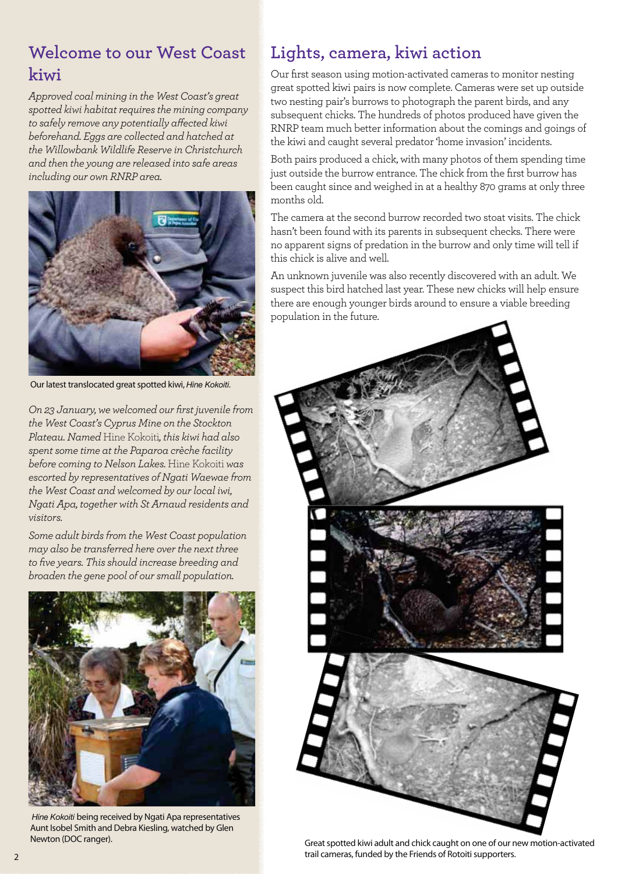# **Welcome to our West Coast kiwi**

*Approved coal mining in the West Coast's great spotted kiwi habitat requires the mining company to safely remove any potentially affected kiwi beforehand. Eggs are collected and hatched at the Willowbank Wildlife Reserve in Christchurch and then the young are released into safe areas including our own RNRP area.* 



Our latest translocated great spotted kiwi, Hine Kokoiti.

*On 23 January, we welcomed our first juvenile from the West Coast's Cyprus Mine on the Stockton Plateau. Named* Hine Kokoiti*, this kiwi had also spent some time at the Paparoa crèche facility before coming to Nelson Lakes.* Hine Kokoiti *was escorted by representatives of Ngati Waewae from the West Coast and welcomed by our local iwi, Ngati Apa, together with St Arnaud residents and visitors.*

*Some adult birds from the West Coast population may also be transferred here over the next three to five years. This should increase breeding and broaden the gene pool of our small population.*



Hine Kokoiti being received by Ngati Apa representatives Aunt Isobel Smith and Debra Kiesling, watched by Glen Newton (DOC ranger).

# **Lights, camera, kiwi action**

Our first season using motion-activated cameras to monitor nesting great spotted kiwi pairs is now complete. Cameras were set up outside two nesting pair's burrows to photograph the parent birds, and any subsequent chicks. The hundreds of photos produced have given the RNRP team much better information about the comings and goings of the kiwi and caught several predator 'home invasion' incidents.

Both pairs produced a chick, with many photos of them spending time just outside the burrow entrance. The chick from the first burrow has been caught since and weighed in at a healthy 870 grams at only three months old.

The camera at the second burrow recorded two stoat visits. The chick hasn't been found with its parents in subsequent checks. There were no apparent signs of predation in the burrow and only time will tell if this chick is alive and well.

An unknown juvenile was also recently discovered with an adult. We suspect this bird hatched last year. These new chicks will help ensure there are enough younger birds around to ensure a viable breeding population in the future.



Great spotted kiwi adult and chick caught on one of our new motion-activated trail cameras, funded by the Friends of Rotoiti supporters.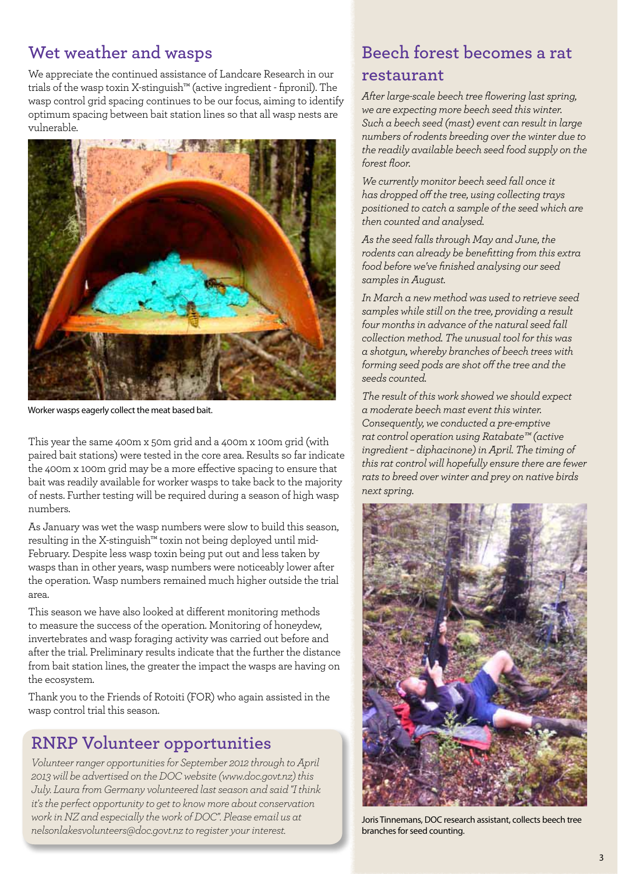#### **Wet weather and wasps**

We appreciate the continued assistance of Landcare Research in our trials of the wasp toxin X-stinguish™ (active ingredient - fipronil). The wasp control grid spacing continues to be our focus, aiming to identify optimum spacing between bait station lines so that all wasp nests are vulnerable.



Worker wasps eagerly collect the meat based bait.

This year the same 400m x 50m grid and a 400m x 100m grid (with paired bait stations) were tested in the core area. Results so far indicate the 400m x 100m grid may be a more effective spacing to ensure that bait was readily available for worker wasps to take back to the majority of nests. Further testing will be required during a season of high wasp numbers.

As January was wet the wasp numbers were slow to build this season, resulting in the X-stinguish™ toxin not being deployed until mid-February. Despite less wasp toxin being put out and less taken by wasps than in other years, wasp numbers were noticeably lower after the operation. Wasp numbers remained much higher outside the trial area.

This season we have also looked at different monitoring methods to measure the success of the operation. Monitoring of honeydew, invertebrates and wasp foraging activity was carried out before and after the trial. Preliminary results indicate that the further the distance from bait station lines, the greater the impact the wasps are having on the ecosystem.

Thank you to the Friends of Rotoiti (FOR) who again assisted in the wasp control trial this season.

#### **RNRP Volunteer opportunities**

*Volunteer ranger opportunities for September 2012 through to April 2013 will be advertised on the DOC website (www.doc.govt.nz) this July. Laura from Germany volunteered last season and said "I think it's the perfect opportunity to get to know more about conservation work in NZ and especially the work of DOC". Please email us at nelsonlakesvolunteers@doc.govt.nz to register your interest.* 

## **Beech forest becomes a rat restaurant**

*After large-scale beech tree flowering last spring, we are expecting more beech seed this winter. Such a beech seed (mast) event can result in large numbers of rodents breeding over the winter due to the readily available beech seed food supply on the forest floor.* 

*We currently monitor beech seed fall once it has dropped off the tree, using collecting trays positioned to catch a sample of the seed which are then counted and analysed.* 

*As the seed falls through May and June, the rodents can already be benefitting from this extra food before we've finished analysing our seed samples in August.*

*In March a new method was used to retrieve seed samples while still on the tree, providing a result four months in advance of the natural seed fall collection method. The unusual tool for this was a shotgun, whereby branches of beech trees with forming seed pods are shot off the tree and the seeds counted.*

*The result of this work showed we should expect a moderate beech mast event this winter. Consequently, we conducted a pre-emptive rat control operation using Ratabate™ (active ingredient – diphacinone) in April. The timing of this rat control will hopefully ensure there are fewer rats to breed over winter and prey on native birds next spring.*



Joris Tinnemans, DOC research assistant, collects beech tree branches for seed counting.